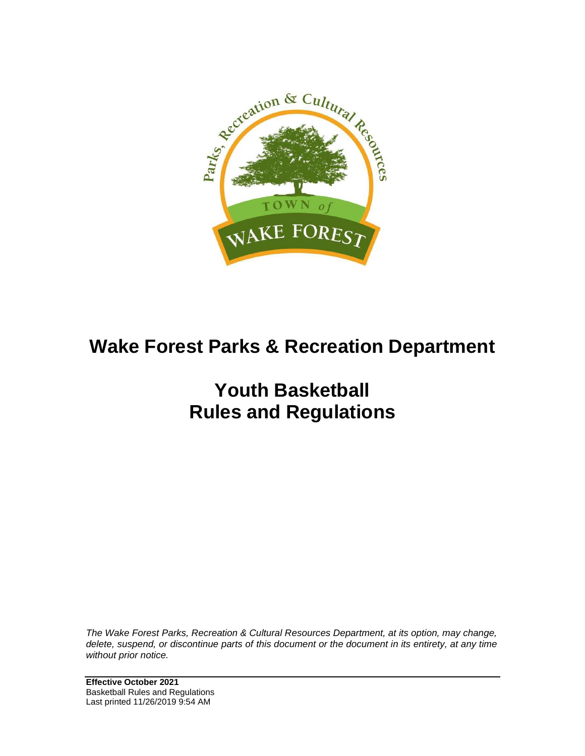

# **Wake Forest Parks & Recreation Department**

# **Youth Basketball Rules and Regulations**

*The Wake Forest Parks, Recreation & Cultural Resources Department, at its option, may change, delete, suspend, or discontinue parts of this document or the document in its entirety, at any time without prior notice.*

**Effective October 2021** Basketball Rules and Regulations Last printed 11/26/2019 9:54 AM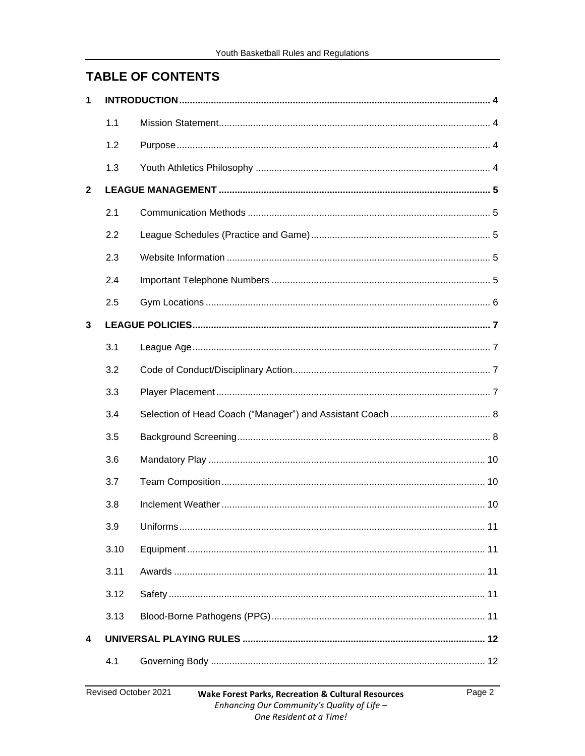# **TABLE OF CONTENTS**

| 1                       |      |  |
|-------------------------|------|--|
|                         | 1.1  |  |
|                         | 1.2  |  |
|                         | 1.3  |  |
| $\mathbf{2}$            |      |  |
|                         | 2.1  |  |
|                         | 2.2  |  |
|                         | 2.3  |  |
|                         | 2.4  |  |
|                         | 2.5  |  |
| $\mathbf{3}$            |      |  |
|                         | 3.1  |  |
|                         | 3.2  |  |
|                         | 3.3  |  |
|                         | 3.4  |  |
|                         | 3.5  |  |
|                         | 3.6  |  |
|                         | 3.7  |  |
|                         | 3.8  |  |
|                         | 3.9  |  |
|                         | 3.10 |  |
|                         | 3.11 |  |
|                         | 3.12 |  |
|                         | 3.13 |  |
| $\overline{\mathbf{4}}$ |      |  |
|                         | 4.1  |  |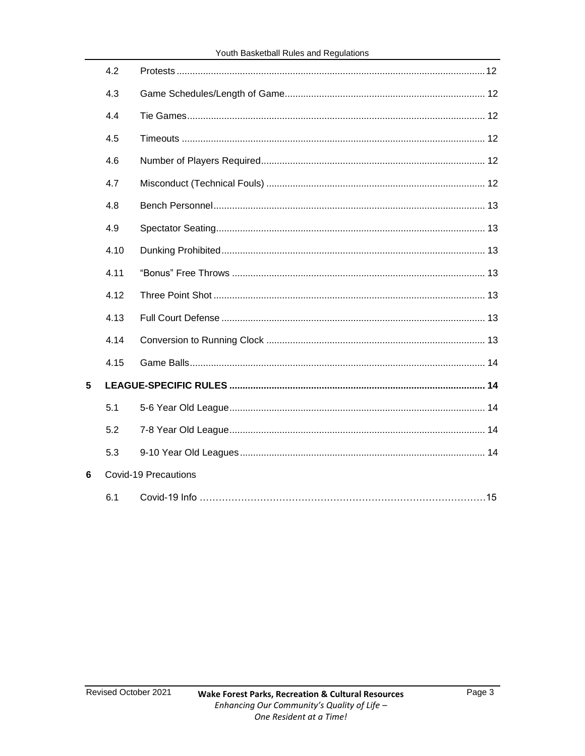|   | 4.2  |                             |
|---|------|-----------------------------|
|   | 4.3  |                             |
|   | 4.4  |                             |
|   | 4.5  |                             |
|   | 4.6  |                             |
|   | 4.7  |                             |
|   | 4.8  |                             |
|   | 4.9  |                             |
|   | 4.10 |                             |
|   | 4.11 |                             |
|   | 4.12 |                             |
|   | 4.13 |                             |
|   | 4.14 |                             |
|   | 4.15 |                             |
| 5 |      |                             |
|   | 5.1  |                             |
|   | 5.2  |                             |
|   | 5.3  |                             |
| 6 |      | <b>Covid-19 Precautions</b> |
|   | 6.1  |                             |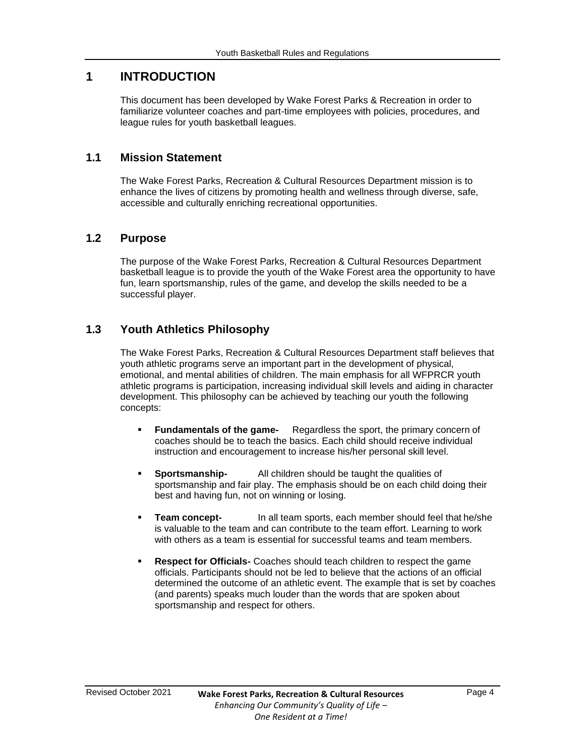# <span id="page-3-0"></span>**1 INTRODUCTION**

This document has been developed by Wake Forest Parks & Recreation in order to familiarize volunteer coaches and part-time employees with policies, procedures, and league rules for youth basketball leagues.

### <span id="page-3-1"></span>**1.1 Mission Statement**

The Wake Forest Parks, Recreation & Cultural Resources Department mission is to enhance the lives of citizens by promoting health and wellness through diverse, safe, accessible and culturally enriching recreational opportunities.

# <span id="page-3-2"></span>**1.2 Purpose**

The purpose of the Wake Forest Parks, Recreation & Cultural Resources Department basketball league is to provide the youth of the Wake Forest area the opportunity to have fun, learn sportsmanship, rules of the game, and develop the skills needed to be a successful player.

# <span id="page-3-3"></span>**1.3 Youth Athletics Philosophy**

The Wake Forest Parks, Recreation & Cultural Resources Department staff believes that youth athletic programs serve an important part in the development of physical, emotional, and mental abilities of children. The main emphasis for all WFPRCR youth athletic programs is participation, increasing individual skill levels and aiding in character development. This philosophy can be achieved by teaching our youth the following concepts:

- **Fundamentals of the game-** Regardless the sport, the primary concern of coaches should be to teach the basics. Each child should receive individual instruction and encouragement to increase his/her personal skill level.
- **EXECUTE:** Sportsmanship-<br>All children should be taught the qualities of sportsmanship and fair play. The emphasis should be on each child doing their best and having fun, not on winning or losing.
- **EXECTE:** In all team sports, each member should feel that he/she is valuable to the team and can contribute to the team effort. Learning to work with others as a team is essential for successful teams and team members.
- **Respect for Officials-** Coaches should teach children to respect the game officials. Participants should not be led to believe that the actions of an official determined the outcome of an athletic event. The example that is set by coaches (and parents) speaks much louder than the words that are spoken about sportsmanship and respect for others.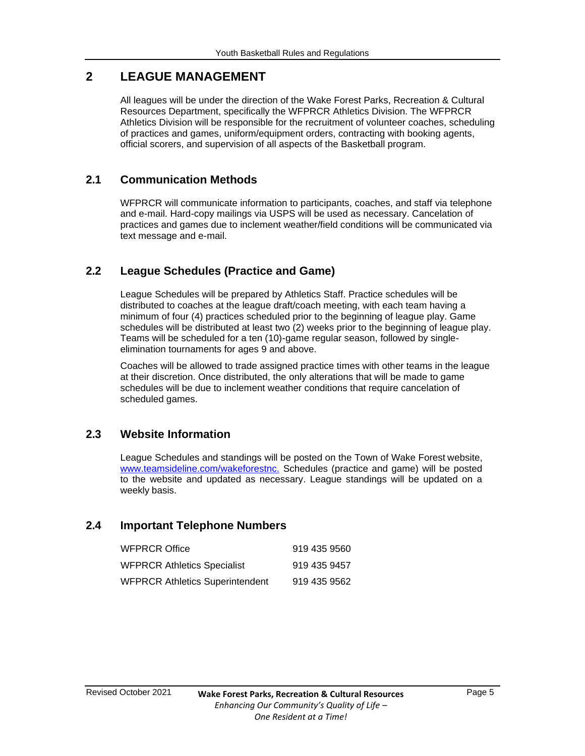# <span id="page-4-0"></span>**2 LEAGUE MANAGEMENT**

All leagues will be under the direction of the Wake Forest Parks, Recreation & Cultural Resources Department, specifically the WFPRCR Athletics Division. The WFPRCR Athletics Division will be responsible for the recruitment of volunteer coaches, scheduling of practices and games, uniform/equipment orders, contracting with booking agents, official scorers, and supervision of all aspects of the Basketball program.

# <span id="page-4-1"></span>**2.1 Communication Methods**

WFPRCR will communicate information to participants, coaches, and staff via telephone and e-mail. Hard-copy mailings via USPS will be used as necessary. Cancelation of practices and games due to inclement weather/field conditions will be communicated via text message and e-mail.

# <span id="page-4-2"></span>**2.2 League Schedules (Practice and Game)**

League Schedules will be prepared by Athletics Staff. Practice schedules will be distributed to coaches at the league draft/coach meeting, with each team having a minimum of four (4) practices scheduled prior to the beginning of league play. Game schedules will be distributed at least two (2) weeks prior to the beginning of league play. Teams will be scheduled for a ten (10)-game regular season, followed by singleelimination tournaments for ages 9 and above.

Coaches will be allowed to trade assigned practice times with other teams in the league at their discretion. Once distributed, the only alterations that will be made to game schedules will be due to inclement weather conditions that require cancelation of scheduled games.

# <span id="page-4-3"></span>**2.3 Website Information**

League Schedules and standings will be posted on the Town of Wake Forest website, [www.teamsideline.com/wakeforestnc.](http://www.teamsideline.com/wakeforestnc.) Schedules (practice and game) will be posted to the website and updated as necessary. League standings will be updated on a weekly basis.

#### <span id="page-4-4"></span>**2.4 Important Telephone Numbers**

| <b>WFPRCR Office</b>                   | 919 435 9560 |
|----------------------------------------|--------------|
| <b>WFPRCR Athletics Specialist</b>     | 919 435 9457 |
| <b>WFPRCR Athletics Superintendent</b> | 919 435 9562 |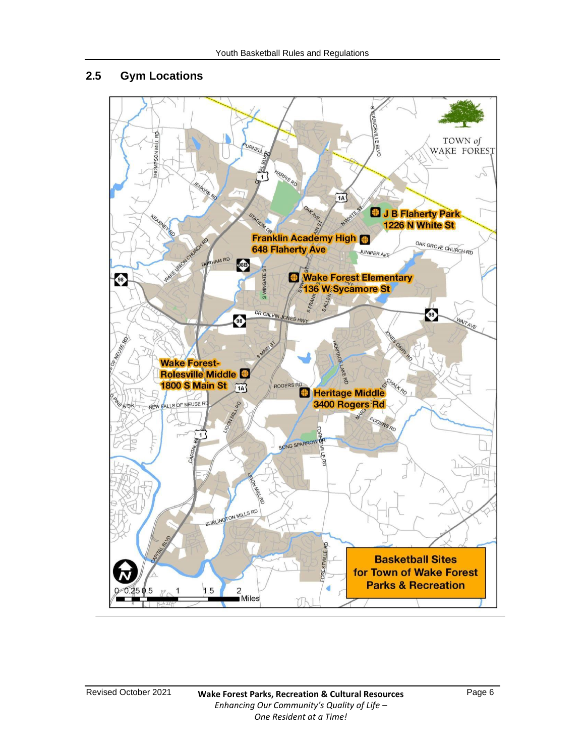# <span id="page-5-0"></span>**2.5 Gym Locations**

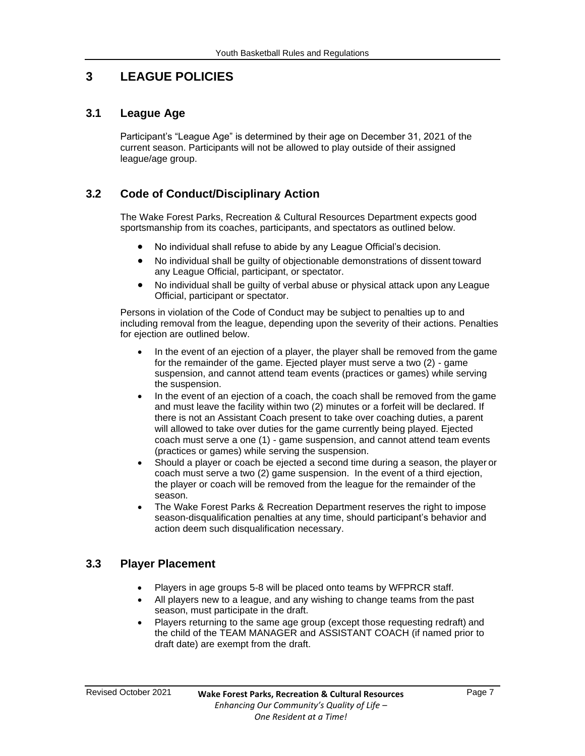# <span id="page-6-0"></span>**3 LEAGUE POLICIES**

# <span id="page-6-1"></span>**3.1 League Age**

Participant's "League Age" is determined by their age on December 31, 2021 of the current season. Participants will not be allowed to play outside of their assigned league/age group.

# <span id="page-6-2"></span>**3.2 Code of Conduct/Disciplinary Action**

The Wake Forest Parks, Recreation & Cultural Resources Department expects good sportsmanship from its coaches, participants, and spectators as outlined below.

- No individual shall refuse to abide by any League Official's decision.
- No individual shall be guilty of objectionable demonstrations of dissent toward any League Official, participant, or spectator.
- No individual shall be guilty of verbal abuse or physical attack upon any League Official, participant or spectator.

Persons in violation of the Code of Conduct may be subject to penalties up to and including removal from the league, depending upon the severity of their actions. Penalties for ejection are outlined below.

- In the event of an ejection of a player, the player shall be removed from the game for the remainder of the game. Ejected player must serve a two (2) - game suspension, and cannot attend team events (practices or games) while serving the suspension.
- In the event of an ejection of a coach, the coach shall be removed from the game and must leave the facility within two (2) minutes or a forfeit will be declared. If there is not an Assistant Coach present to take over coaching duties, a parent will allowed to take over duties for the game currently being played. Ejected coach must serve a one (1) - game suspension, and cannot attend team events (practices or games) while serving the suspension.
- Should a player or coach be ejected a second time during a season, the player or coach must serve a two (2) game suspension. In the event of a third ejection, the player or coach will be removed from the league for the remainder of the season.
- The Wake Forest Parks & Recreation Department reserves the right to impose season-disqualification penalties at any time, should participant's behavior and action deem such disqualification necessary.

# <span id="page-6-3"></span>**3.3 Player Placement**

- Players in age groups 5-8 will be placed onto teams by WFPRCR staff.
- All players new to a league, and any wishing to change teams from the past season, must participate in the draft.
- Players returning to the same age group (except those requesting redraft) and the child of the TEAM MANAGER and ASSISTANT COACH (if named prior to draft date) are exempt from the draft.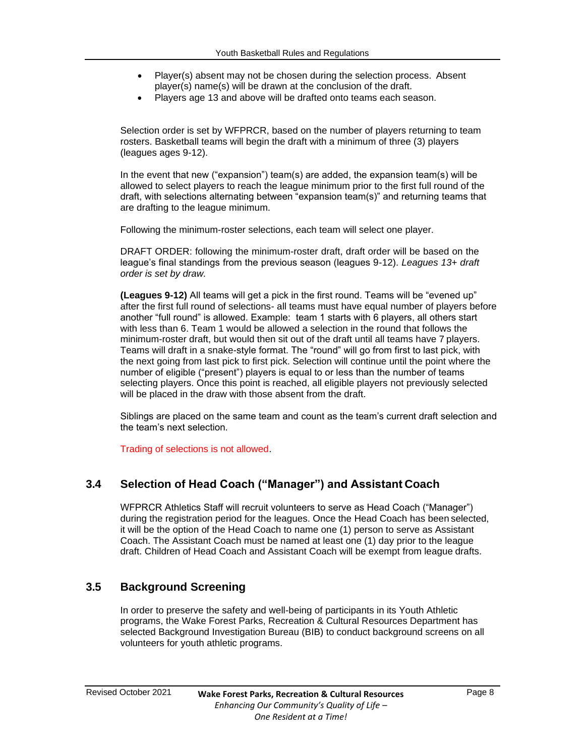- Player(s) absent may not be chosen during the selection process. Absent player(s) name(s) will be drawn at the conclusion of the draft.
- Players age 13 and above will be drafted onto teams each season.

Selection order is set by WFPRCR, based on the number of players returning to team rosters. Basketball teams will begin the draft with a minimum of three (3) players (leagues ages 9-12).

In the event that new ("expansion") team(s) are added, the expansion team(s) will be allowed to select players to reach the league minimum prior to the first full round of the draft, with selections alternating between "expansion team(s)" and returning teams that are drafting to the league minimum.

Following the minimum-roster selections, each team will select one player.

DRAFT ORDER: following the minimum-roster draft, draft order will be based on the league's final standings from the previous season (leagues 9-12). *Leagues 13+ draft order is set by draw.*

**(Leagues 9-12)** All teams will get a pick in the first round. Teams will be "evened up" after the first full round of selections- all teams must have equal number of players before another "full round" is allowed. Example: team 1 starts with 6 players, all others start with less than 6. Team 1 would be allowed a selection in the round that follows the minimum-roster draft, but would then sit out of the draft until all teams have 7 players. Teams will draft in a snake-style format. The "round" will go from first to last pick, with the next going from last pick to first pick. Selection will continue until the point where the number of eligible ("present") players is equal to or less than the number of teams selecting players. Once this point is reached, all eligible players not previously selected will be placed in the draw with those absent from the draft.

Siblings are placed on the same team and count as the team's current draft selection and the team's next selection.

Trading of selections is not allowed.

#### <span id="page-7-0"></span>**3.4 Selection of Head Coach ("Manager") and Assistant Coach**

WFPRCR Athletics Staff will recruit volunteers to serve as Head Coach ("Manager") during the registration period for the leagues. Once the Head Coach has been selected, it will be the option of the Head Coach to name one (1) person to serve as Assistant Coach. The Assistant Coach must be named at least one (1) day prior to the league draft. Children of Head Coach and Assistant Coach will be exempt from league drafts.

#### <span id="page-7-1"></span>**3.5 Background Screening**

In order to preserve the safety and well-being of participants in its Youth Athletic programs, the Wake Forest Parks, Recreation & Cultural Resources Department has selected Background Investigation Bureau (BIB) to conduct background screens on all volunteers for youth athletic programs.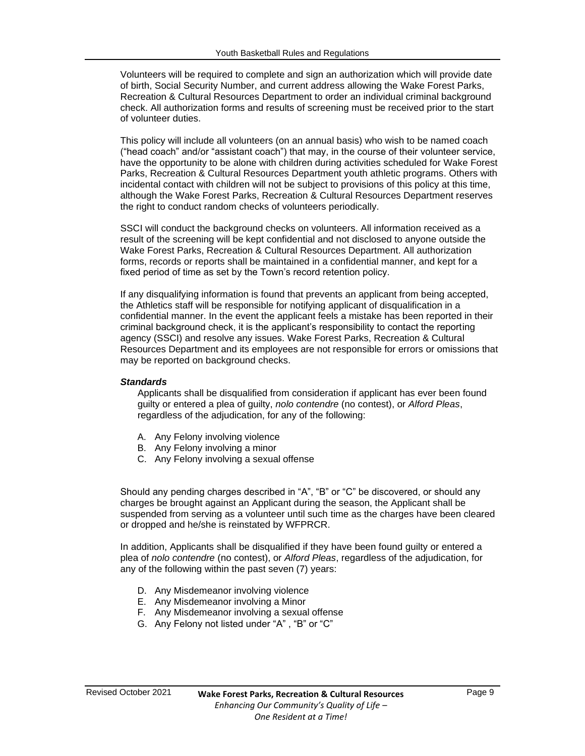Volunteers will be required to complete and sign an authorization which will provide date of birth, Social Security Number, and current address allowing the Wake Forest Parks, Recreation & Cultural Resources Department to order an individual criminal background check. All authorization forms and results of screening must be received prior to the start of volunteer duties.

This policy will include all volunteers (on an annual basis) who wish to be named coach ("head coach" and/or "assistant coach") that may, in the course of their volunteer service, have the opportunity to be alone with children during activities scheduled for Wake Forest Parks, Recreation & Cultural Resources Department youth athletic programs. Others with incidental contact with children will not be subject to provisions of this policy at this time, although the Wake Forest Parks, Recreation & Cultural Resources Department reserves the right to conduct random checks of volunteers periodically.

SSCI will conduct the background checks on volunteers. All information received as a result of the screening will be kept confidential and not disclosed to anyone outside the Wake Forest Parks, Recreation & Cultural Resources Department. All authorization forms, records or reports shall be maintained in a confidential manner, and kept for a fixed period of time as set by the Town's record retention policy.

If any disqualifying information is found that prevents an applicant from being accepted, the Athletics staff will be responsible for notifying applicant of disqualification in a confidential manner. In the event the applicant feels a mistake has been reported in their criminal background check, it is the applicant's responsibility to contact the reporting agency (SSCI) and resolve any issues. Wake Forest Parks, Recreation & Cultural Resources Department and its employees are not responsible for errors or omissions that may be reported on background checks.

#### *Standards*

Applicants shall be disqualified from consideration if applicant has ever been found guilty or entered a plea of guilty, *nolo contendre* (no contest), or *Alford Pleas*, regardless of the adjudication, for any of the following:

- A. Any Felony involving violence
- B. Any Felony involving a minor
- C. Any Felony involving a sexual offense

Should any pending charges described in "A", "B" or "C" be discovered, or should any charges be brought against an Applicant during the season, the Applicant shall be suspended from serving as a volunteer until such time as the charges have been cleared or dropped and he/she is reinstated by WFPRCR.

In addition, Applicants shall be disqualified if they have been found guilty or entered a plea of *nolo contendre* (no contest), or *Alford Pleas*, regardless of the adjudication, for any of the following within the past seven (7) years:

- D. Any Misdemeanor involving violence
- E. Any Misdemeanor involving a Minor
- F. Any Misdemeanor involving a sexual offense
- G. Any Felony not listed under "A" , "B" or "C"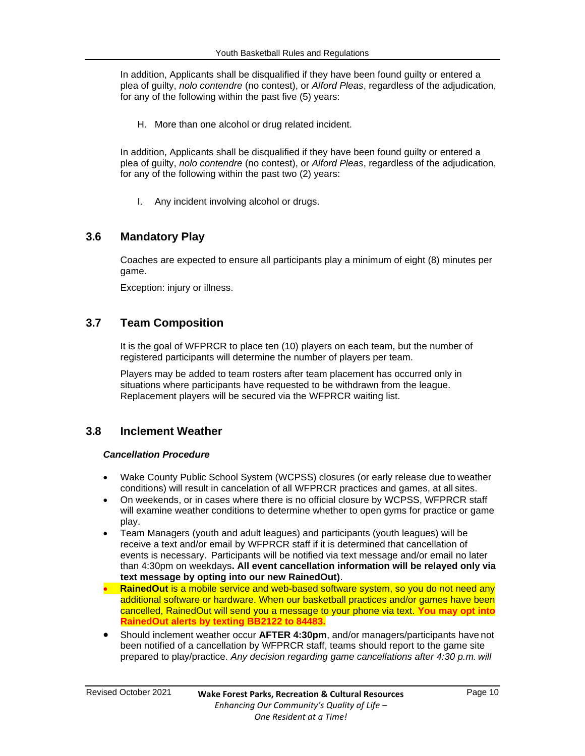In addition, Applicants shall be disqualified if they have been found guilty or entered a plea of guilty, *nolo contendre* (no contest), or *Alford Pleas*, regardless of the adjudication, for any of the following within the past five (5) years:

H. More than one alcohol or drug related incident.

In addition, Applicants shall be disqualified if they have been found guilty or entered a plea of guilty, *nolo contendre* (no contest), or *Alford Pleas*, regardless of the adjudication, for any of the following within the past two (2) years:

I. Any incident involving alcohol or drugs.

# <span id="page-9-0"></span>**3.6 Mandatory Play**

Coaches are expected to ensure all participants play a minimum of eight (8) minutes per game.

Exception: injury or illness.

# <span id="page-9-1"></span>**3.7 Team Composition**

It is the goal of WFPRCR to place ten (10) players on each team, but the number of registered participants will determine the number of players per team.

Players may be added to team rosters after team placement has occurred only in situations where participants have requested to be withdrawn from the league. Replacement players will be secured via the WFPRCR waiting list.

#### <span id="page-9-2"></span>**3.8 Inclement Weather**

#### *Cancellation Procedure*

- Wake County Public School System (WCPSS) closures (or early release due to weather conditions) will result in cancelation of all WFPRCR practices and games, at all sites.
- On weekends, or in cases where there is no official closure by WCPSS, WFPRCR staff will examine weather conditions to determine whether to open gyms for practice or game play.
- Team Managers (youth and adult leagues) and participants (youth leagues) will be receive a text and/or email by WFPRCR staff if it is determined that cancellation of events is necessary. Participants will be notified via text message and/or email no later than 4:30pm on weekdays**. All event cancellation information will be relayed only via text message by opting into our new RainedOut)**.
- **RainedOut** is a mobile service and web-based software system, so you do not need any additional software or hardware. When our basketball practices and/or games have been cancelled, RainedOut will send you a message to your phone via text. **You may opt into RainedOut alerts by texting BB2122 to 84483.**
- Should inclement weather occur **AFTER 4:30pm**, and/or managers/participants have not been notified of a cancellation by WFPRCR staff, teams should report to the game site prepared to play/practice. *Any decision regarding game cancellations after 4:30 p.m. will*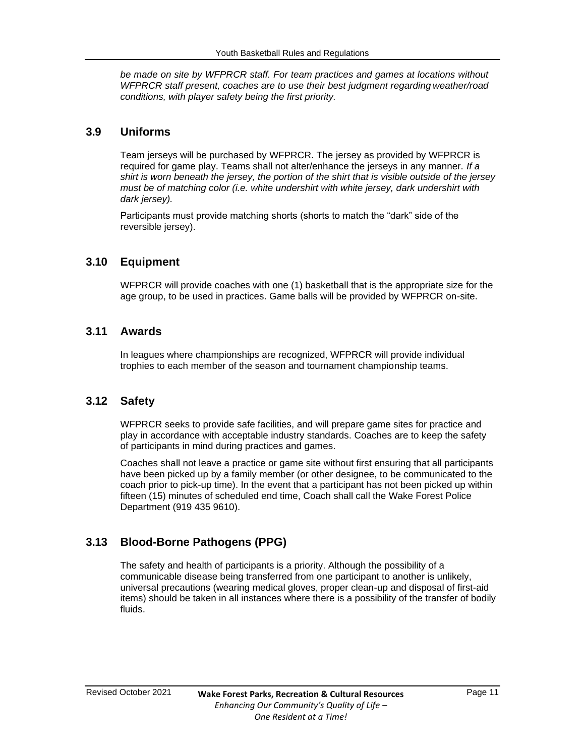*be made on site by WFPRCR staff. For team practices and games at locations without WFPRCR staff present, coaches are to use their best judgment regarding weather/road conditions, with player safety being the first priority.*

#### <span id="page-10-0"></span>**3.9 Uniforms**

Team jerseys will be purchased by WFPRCR. The jersey as provided by WFPRCR is required for game play. Teams shall not alter/enhance the jerseys in any manner. *If a shirt is worn beneath the jersey, the portion of the shirt that is visible outside of the jersey must be of matching color (i.e. white undershirt with white jersey, dark undershirt with dark jersey).*

Participants must provide matching shorts (shorts to match the "dark" side of the reversible jersey).

#### <span id="page-10-1"></span>**3.10 Equipment**

WFPRCR will provide coaches with one (1) basketball that is the appropriate size for the age group, to be used in practices. Game balls will be provided by WFPRCR on-site.

#### <span id="page-10-2"></span>**3.11 Awards**

In leagues where championships are recognized, WFPRCR will provide individual trophies to each member of the season and tournament championship teams.

#### <span id="page-10-3"></span>**3.12 Safety**

WFPRCR seeks to provide safe facilities, and will prepare game sites for practice and play in accordance with acceptable industry standards. Coaches are to keep the safety of participants in mind during practices and games.

Coaches shall not leave a practice or game site without first ensuring that all participants have been picked up by a family member (or other designee, to be communicated to the coach prior to pick-up time). In the event that a participant has not been picked up within fifteen (15) minutes of scheduled end time, Coach shall call the Wake Forest Police Department (919 435 9610).

# <span id="page-10-4"></span>**3.13 Blood-Borne Pathogens (PPG)**

The safety and health of participants is a priority. Although the possibility of a communicable disease being transferred from one participant to another is unlikely, universal precautions (wearing medical gloves, proper clean-up and disposal of first-aid items) should be taken in all instances where there is a possibility of the transfer of bodily fluids.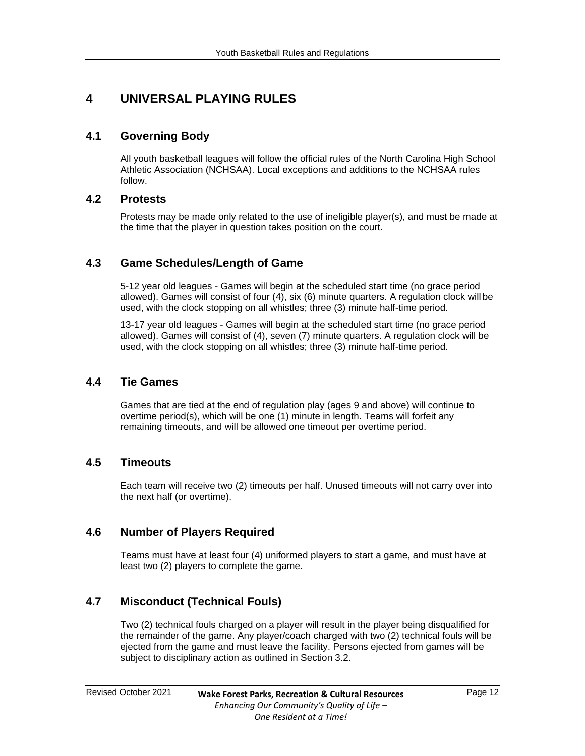# <span id="page-11-0"></span>**4 UNIVERSAL PLAYING RULES**

# <span id="page-11-1"></span>**4.1 Governing Body**

All youth basketball leagues will follow the official rules of the North Carolina High School Athletic Association (NCHSAA). Local exceptions and additions to the NCHSAA rules follow.

# **4.2 Protests**

Protests may be made only related to the use of ineligible player(s), and must be made at the time that the player in question takes position on the court.

# <span id="page-11-2"></span>**4.3 Game Schedules/Length of Game**

5-12 year old leagues - Games will begin at the scheduled start time (no grace period allowed). Games will consist of four (4), six (6) minute quarters. A regulation clock will be used, with the clock stopping on all whistles; three (3) minute half-time period.

13-17 year old leagues - Games will begin at the scheduled start time (no grace period allowed). Games will consist of (4), seven (7) minute quarters. A regulation clock will be used, with the clock stopping on all whistles; three (3) minute half-time period.

# <span id="page-11-3"></span>**4.4 Tie Games**

Games that are tied at the end of regulation play (ages 9 and above) will continue to overtime period(s), which will be one (1) minute in length. Teams will forfeit any remaining timeouts, and will be allowed one timeout per overtime period.

# <span id="page-11-4"></span>**4.5 Timeouts**

Each team will receive two (2) timeouts per half. Unused timeouts will not carry over into the next half (or overtime).

# <span id="page-11-5"></span>**4.6 Number of Players Required**

Teams must have at least four (4) uniformed players to start a game, and must have at least two (2) players to complete the game.

# <span id="page-11-6"></span>**4.7 Misconduct (Technical Fouls)**

Two (2) technical fouls charged on a player will result in the player being disqualified for the remainder of the game. Any player/coach charged with two (2) technical fouls will be ejected from the game and must leave the facility. Persons ejected from games will be subject to disciplinary action as outlined in Section 3.2.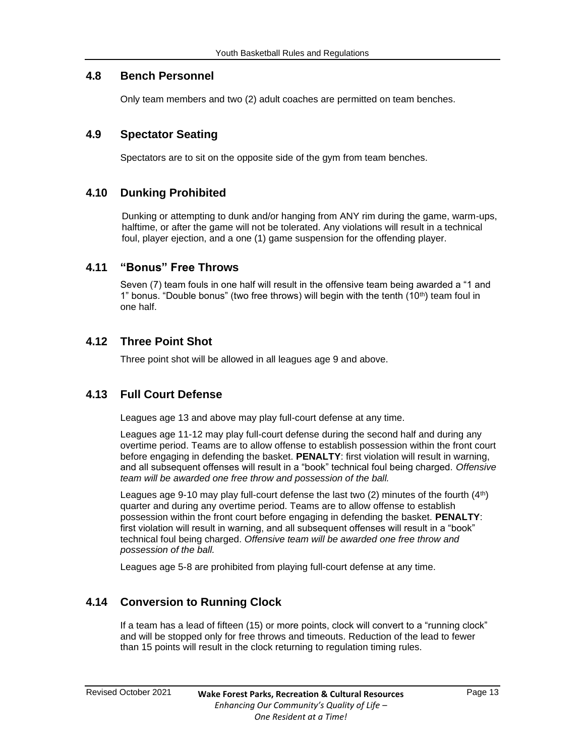#### <span id="page-12-0"></span>**4.8 Bench Personnel**

Only team members and two (2) adult coaches are permitted on team benches.

# <span id="page-12-1"></span>**4.9 Spectator Seating**

Spectators are to sit on the opposite side of the gym from team benches.

# <span id="page-12-2"></span>**4.10 Dunking Prohibited**

Dunking or attempting to dunk and/or hanging from ANY rim during the game, warm-ups, halftime, or after the game will not be tolerated. Any violations will result in a technical foul, player ejection, and a one (1) game suspension for the offending player.

#### <span id="page-12-3"></span>**4.11 "Bonus" Free Throws**

Seven (7) team fouls in one half will result in the offensive team being awarded a "1 and 1" bonus. "Double bonus" (two free throws) will begin with the tenth  $(10<sup>th</sup>)$  team foul in one half.

# <span id="page-12-4"></span>**4.12 Three Point Shot**

Three point shot will be allowed in all leagues age 9 and above.

# <span id="page-12-5"></span>**4.13 Full Court Defense**

Leagues age 13 and above may play full-court defense at any time.

Leagues age 11-12 may play full-court defense during the second half and during any overtime period. Teams are to allow offense to establish possession within the front court before engaging in defending the basket. **PENALTY**: first violation will result in warning, and all subsequent offenses will result in a "book" technical foul being charged. *Offensive team will be awarded one free throw and possession of the ball.*

Leagues age 9-10 may play full-court defense the last two  $(2)$  minutes of the fourth  $(4<sup>th</sup>)$ quarter and during any overtime period. Teams are to allow offense to establish possession within the front court before engaging in defending the basket. **PENALTY**: first violation will result in warning, and all subsequent offenses will result in a "book" technical foul being charged. *Offensive team will be awarded one free throw and possession of the ball.*

Leagues age 5-8 are prohibited from playing full-court defense at any time.

# <span id="page-12-6"></span>**4.14 Conversion to Running Clock**

If a team has a lead of fifteen (15) or more points, clock will convert to a "running clock" and will be stopped only for free throws and timeouts. Reduction of the lead to fewer than 15 points will result in the clock returning to regulation timing rules.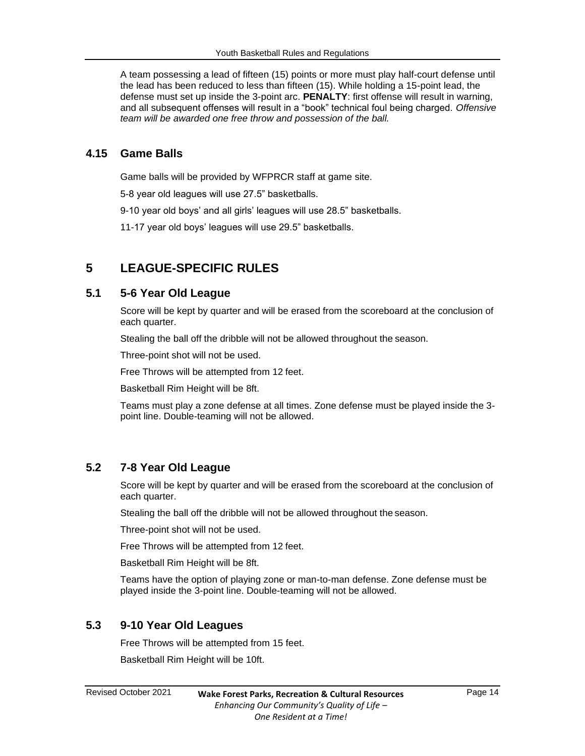A team possessing a lead of fifteen (15) points or more must play half-court defense until the lead has been reduced to less than fifteen (15). While holding a 15-point lead, the defense must set up inside the 3-point arc. **PENALTY**: first offense will result in warning, and all subsequent offenses will result in a "book" technical foul being charged. *Offensive team will be awarded one free throw and possession of the ball.*

#### <span id="page-13-0"></span>**4.15 Game Balls**

Game balls will be provided by WFPRCR staff at game site.

5-8 year old leagues will use 27.5" basketballs.

9-10 year old boys' and all girls' leagues will use 28.5" basketballs.

11-17 year old boys' leagues will use 29.5" basketballs.

# <span id="page-13-1"></span>**5 LEAGUE-SPECIFIC RULES**

#### <span id="page-13-2"></span>**5.1 5-6 Year Old League**

Score will be kept by quarter and will be erased from the scoreboard at the conclusion of each quarter.

Stealing the ball off the dribble will not be allowed throughout the season.

Three-point shot will not be used.

Free Throws will be attempted from 12 feet.

Basketball Rim Height will be 8ft.

Teams must play a zone defense at all times. Zone defense must be played inside the 3 point line. Double-teaming will not be allowed.

#### <span id="page-13-3"></span>**5.2 7-8 Year Old League**

Score will be kept by quarter and will be erased from the scoreboard at the conclusion of each quarter.

Stealing the ball off the dribble will not be allowed throughout the season.

Three-point shot will not be used.

Free Throws will be attempted from 12 feet.

Basketball Rim Height will be 8ft.

Teams have the option of playing zone or man-to-man defense. Zone defense must be played inside the 3-point line. Double-teaming will not be allowed.

### <span id="page-13-4"></span>**5.3 9-10 Year Old Leagues**

Free Throws will be attempted from 15 feet.

Basketball Rim Height will be 10ft.